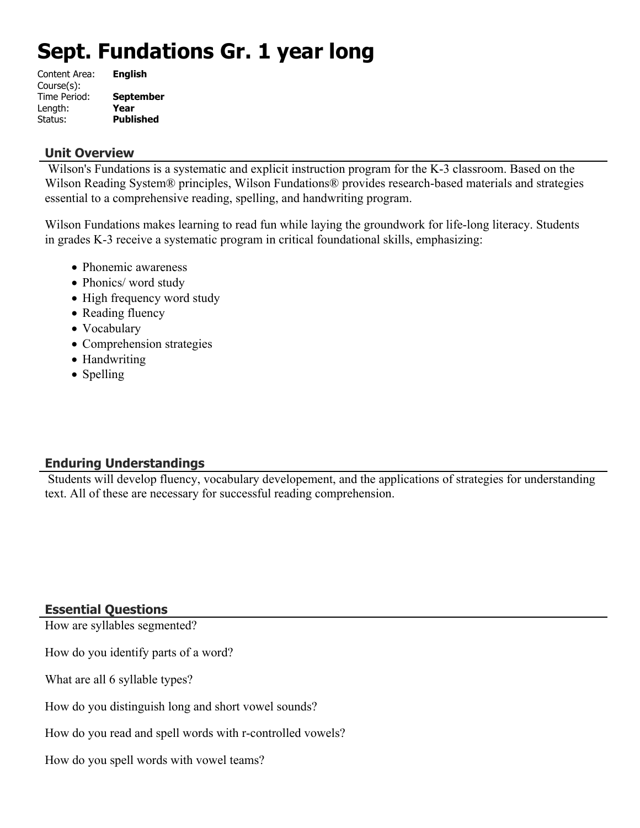# **Sept. Fundations Gr. 1 year long**

| Content Area: | <b>English</b>   |
|---------------|------------------|
| Course(s):    |                  |
| Time Period:  | <b>September</b> |
| Length:       | Year             |
| Status:       | <b>Published</b> |

#### **Unit Overview**

 Wilson's Fundations is a systematic and explicit instruction program for the K-3 classroom. Based on the Wilson Reading System® principles, Wilson Fundations® provides research-based materials and strategies essential to a comprehensive reading, spelling, and handwriting program.

Wilson Fundations makes learning to read fun while laying the groundwork for life-long literacy. Students in grades K-3 receive a systematic program in critical foundational skills, emphasizing:

- Phonemic awareness
- Phonics/ word study
- High frequency word study
- Reading fluency
- Vocabulary
- Comprehension strategies
- Handwriting
- Spelling

# **Enduring Understandings**

 Students will develop fluency, vocabulary developement, and the applications of strategies for understanding text. All of these are necessary for successful reading comprehension.

# **Essential Questions**

How are syllables segmented?

How do you identify parts of a word?

What are all 6 syllable types?

How do you distinguish long and short vowel sounds?

How do you read and spell words with r-controlled vowels?

How do you spell words with vowel teams?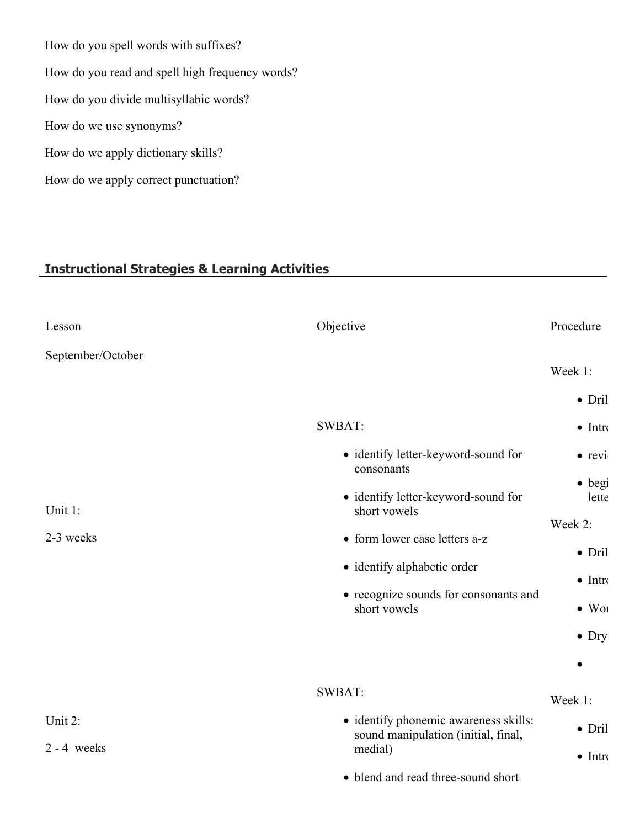How do you spell words with suffixes? How do you read and spell high frequency words? How do you divide multisyllabic words? How do we use synonyms? How do we apply dictionary skills? How do we apply correct punctuation?

# **Instructional Strategies & Learning Activities**

| Lesson            | Objective                                           | Procedure       |  |
|-------------------|-----------------------------------------------------|-----------------|--|
| September/October |                                                     |                 |  |
|                   |                                                     | Week 1:         |  |
|                   |                                                     | $\bullet$ Dril  |  |
|                   | SWBAT:                                              | $\bullet$ Intro |  |
|                   | • identify letter-keyword-sound for<br>consonants   | $\bullet$ revi  |  |
|                   |                                                     | $\bullet$ begi  |  |
| Unit 1:           | • identify letter-keyword-sound for<br>short vowels | lette           |  |
|                   |                                                     | Week 2:         |  |
| 2-3 weeks         | • form lower case letters a-z                       | $\bullet$ Dril  |  |
|                   | • identify alphabetic order                         |                 |  |
|                   | • recognize sounds for consonants and               | $\bullet$ Intro |  |
|                   | short vowels                                        | $\bullet$ Wol   |  |
|                   |                                                     | $\bullet$ Dry   |  |
|                   |                                                     | $\bullet$       |  |
|                   | SWBAT:                                              | Week 1:         |  |
| Unit 2:           | · identify phonemic awareness skills:               |                 |  |
|                   | sound manipulation (initial, final,                 | $\bullet$ Dril  |  |
| $2 - 4$ weeks     | medial)                                             | $\bullet$ Intro |  |
|                   | • blend and read three-sound short                  |                 |  |
|                   |                                                     |                 |  |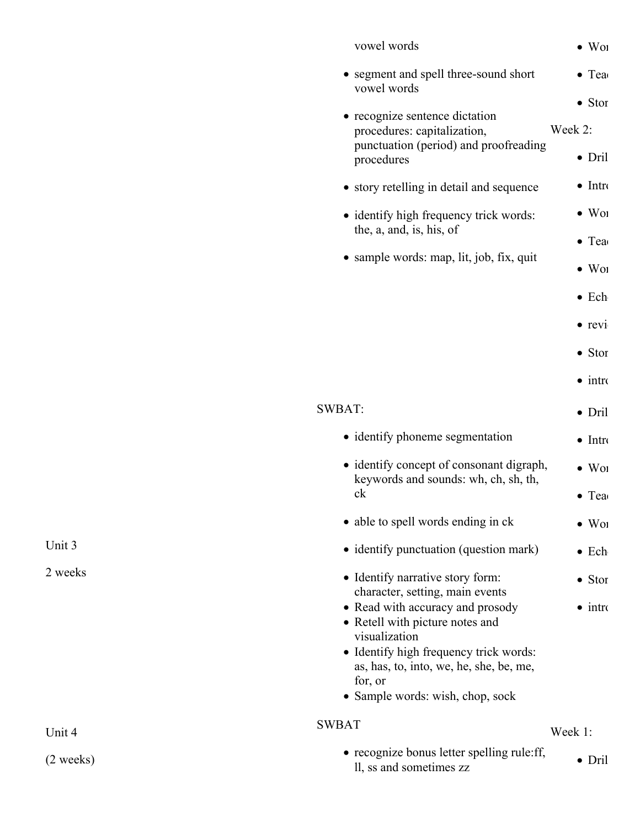| vowel words                                                                                                                                                                                                              | $\bullet$ Wol                               |
|--------------------------------------------------------------------------------------------------------------------------------------------------------------------------------------------------------------------------|---------------------------------------------|
| • segment and spell three-sound short<br>vowel words                                                                                                                                                                     | $\bullet$ Tea                               |
| • recognize sentence dictation<br>procedures: capitalization,<br>punctuation (period) and proofreading<br>procedures                                                                                                     | $\bullet$ Stor<br>Week 2:<br>$\bullet$ Dril |
| • story retelling in detail and sequence                                                                                                                                                                                 | $\bullet$ Intro                             |
| • identify high frequency trick words:                                                                                                                                                                                   | $\bullet$ Wor                               |
| the, a, and, is, his, of                                                                                                                                                                                                 | $\bullet$ Tea                               |
| • sample words: map, lit, job, fix, quit                                                                                                                                                                                 | $\bullet$ Wol                               |
|                                                                                                                                                                                                                          | $\bullet$ Ech                               |
|                                                                                                                                                                                                                          | $\bullet$ revi                              |
|                                                                                                                                                                                                                          | $\bullet$ Stor                              |
|                                                                                                                                                                                                                          | $\bullet$ intro                             |
| <b>SWBAT:</b>                                                                                                                                                                                                            | $\bullet$ Dril                              |
| • identify phoneme segmentation                                                                                                                                                                                          | $\bullet$ Intro                             |
| • identify concept of consonant digraph,<br>keywords and sounds: wh, ch, sh, th,                                                                                                                                         | $\bullet$ Wol                               |
| ck                                                                                                                                                                                                                       | $\bullet$ Tea                               |
| • able to spell words ending in ck                                                                                                                                                                                       | $\bullet$ Wor                               |
| • identify punctuation (question mark)                                                                                                                                                                                   | $\bullet$ Ech                               |
| • Identify narrative story form:<br>character, setting, main events                                                                                                                                                      | $\bullet$ Stor                              |
| • Read with accuracy and prosody<br>• Retell with picture notes and<br>visualization<br>• Identify high frequency trick words:<br>as, has, to, into, we, he, she, be, me,<br>for, or<br>• Sample words: wish, chop, sock | $\bullet$ intro                             |
| <b>SWBAT</b>                                                                                                                                                                                                             | Week 1:                                     |
| • recognize bonus letter spelling rule:ff,<br>ll, ss and sometimes zz                                                                                                                                                    | $\bullet$ Dril                              |
|                                                                                                                                                                                                                          |                                             |

Unit 3

2 weeks

Unit 4

(2 weeks)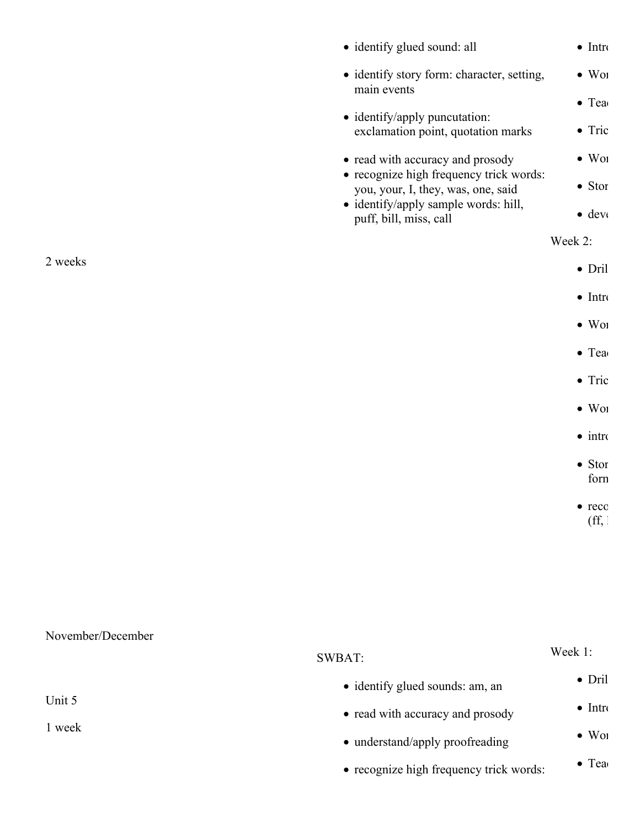|                   | • identify glued sound: all                                                   | $\bullet$ Intro                    |
|-------------------|-------------------------------------------------------------------------------|------------------------------------|
|                   | · identify story form: character, setting,<br>main events                     | $\bullet$ Wol                      |
|                   |                                                                               | $\bullet$ Tea                      |
|                   | • identify/apply puncutation:<br>exclamation point, quotation marks           | $\bullet$ Tric                     |
|                   | • read with accuracy and prosody                                              | $\bullet$ Wol                      |
|                   | • recognize high frequency trick words:<br>you, your, I, they, was, one, said | $\bullet$ Stor                     |
|                   | · identify/apply sample words: hill,<br>puff, bill, miss, call                | $\bullet$ dev $\circ$              |
|                   |                                                                               | Week 2:                            |
| 2 weeks           |                                                                               | $\bullet$ Dril                     |
|                   |                                                                               | $\bullet$ Intro                    |
|                   |                                                                               | $\bullet$ Wol                      |
|                   |                                                                               | $\bullet$ Tea                      |
|                   |                                                                               | $\bullet$ Tric                     |
|                   |                                                                               | $\bullet$ Wol                      |
|                   |                                                                               | $\bullet$ intro                    |
|                   |                                                                               | $\bullet$ Stor<br>forn             |
|                   |                                                                               | $\bullet$ reco<br>$(f\!f, \theta)$ |
|                   |                                                                               |                                    |
|                   |                                                                               |                                    |
|                   |                                                                               |                                    |
| November/December |                                                                               |                                    |
|                   |                                                                               | $W_{\alpha\alpha}$ k 1.            |

|        | SWBAT:                                  | WEEK 1.                   |
|--------|-----------------------------------------|---------------------------|
|        | • identify glued sounds: am, an         | $\bullet$ Dril            |
| Unit 5 | • read with accuracy and prosody        | $\bullet$ Intro           |
| l week | • understand/apply proofreading         | $\bullet$ W <sub>01</sub> |
|        | • recognize high frequency trick words: | $\bullet$ Tea             |
|        |                                         |                           |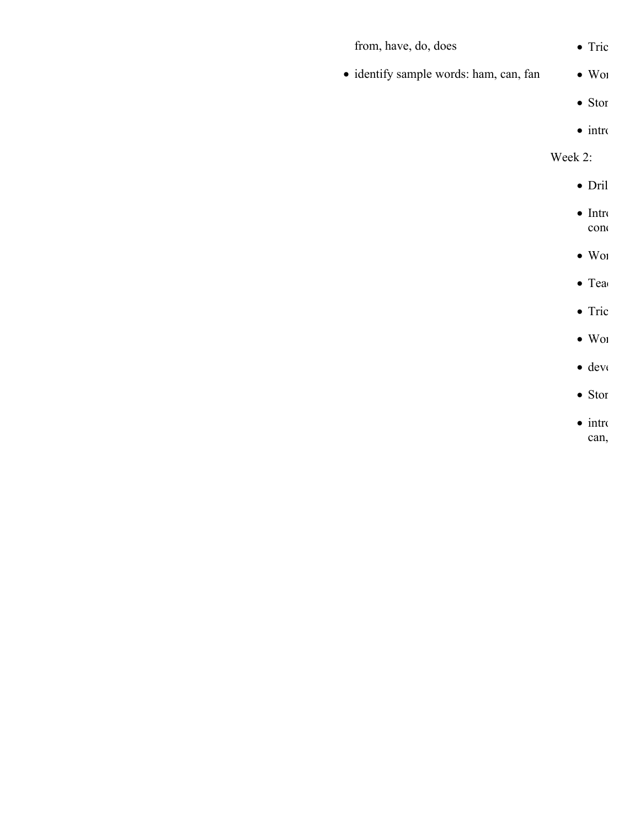| from, have, do, does                   | $\bullet$ Tric          |
|----------------------------------------|-------------------------|
| · identify sample words: ham, can, fan | $\bullet$ Wol           |
|                                        | $\bullet$ Stor          |
|                                        | $\bullet$ intro         |
|                                        | Week 2:                 |
|                                        | $\bullet$ Dril          |
|                                        | $\bullet$ Intro<br>con  |
|                                        | $\bullet$ Wol           |
|                                        | $\bullet$ Tea           |
|                                        | $\bullet$ Tric          |
|                                        | $\bullet$ Wol           |
|                                        | $\bullet$ dev $\bullet$ |
|                                        | $\bullet$ Stor          |
|                                        | $\bullet$ intro         |

can,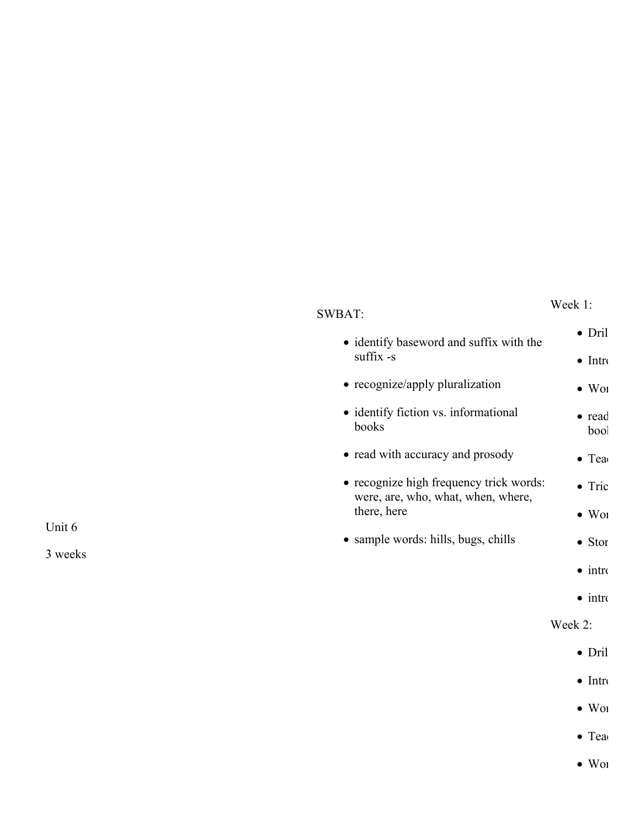#### Week 1:

|           | • identify baseword and suffix with the                                       | $\bullet$ Dril            |
|-----------|-------------------------------------------------------------------------------|---------------------------|
| suffix -s | $\bullet$ Intro                                                               |                           |
|           | • recognize/apply pluralization                                               | $\bullet$ W <sub>01</sub> |
|           | • identify fiction vs. informational<br>books                                 | $\bullet$ read<br>bool    |
|           | • read with accuracy and prosody                                              | $\bullet$ Tea             |
|           | • recognize high frequency trick words:<br>were, are, who, what, when, where, | $\bullet$ Tric            |
|           | there, here                                                                   | $\bullet$ W <sub>01</sub> |
|           | • sample words: hills, bugs, chills                                           | $\bullet$ Stor            |
|           |                                                                               | $\bullet$ intro           |
|           |                                                                               | $\bullet$ intro           |
|           |                                                                               | Week 2:                   |
|           |                                                                               | $\bullet$ Dril            |
|           |                                                                               | $\bullet$ Intro           |
|           |                                                                               |                           |

- $\bullet$  Word
- $\bullet$  Tea
- $\bullet$  Wor

Unit 6

3 weeks

# SWBAT: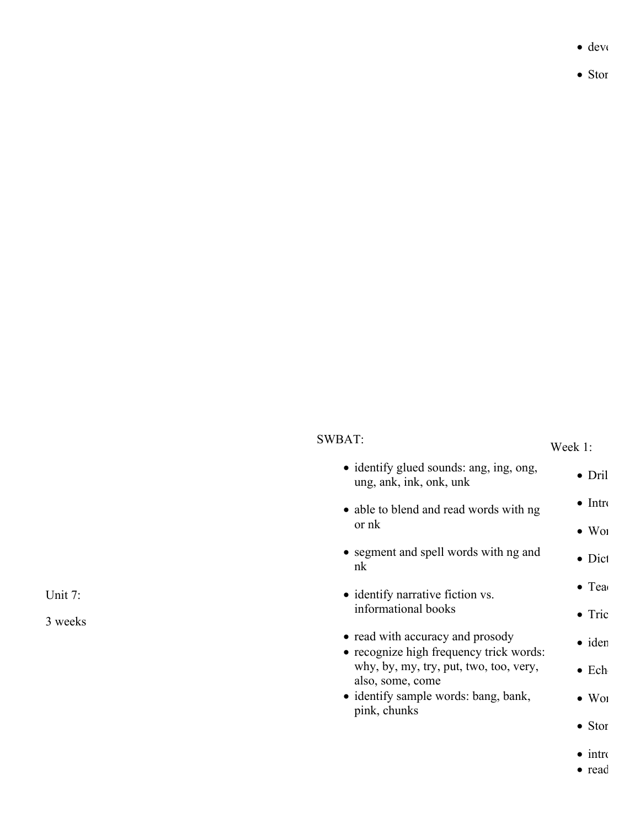$\bullet$  deve

 $\bullet$  Stor

| 'WBAT |
|-------|
|-------|

# Week 1:

| • identify glued sounds: ang, ing, ong,<br>ung, ank, ink, onk, unk          | $\bullet$ Dril            |
|-----------------------------------------------------------------------------|---------------------------|
| • able to blend and read words with ng                                      | $\bullet$ Intro           |
| or nk                                                                       | $\bullet$ W <sub>01</sub> |
| • segment and spell words with ng and<br>nk                                 | $\bullet$ Dict            |
| • identify narrative fiction vs.                                            | $\bullet$ Tea             |
| informational books                                                         | $\bullet$ Tric            |
| • read with accuracy and prosody<br>• recognize high frequency trick words: | $\bullet$ iden            |
| why, by, my, try, put, two, too, very,<br>also, some, come                  | $\bullet$ Ech             |
| • identify sample words: bang, bank,                                        | $\bullet$ W <sub>01</sub> |
| pink, chunks                                                                | $\bullet$ Stor            |
|                                                                             | $\sim$ $\sim$             |

- $\bullet$  introduce
- $read$

Unit 7: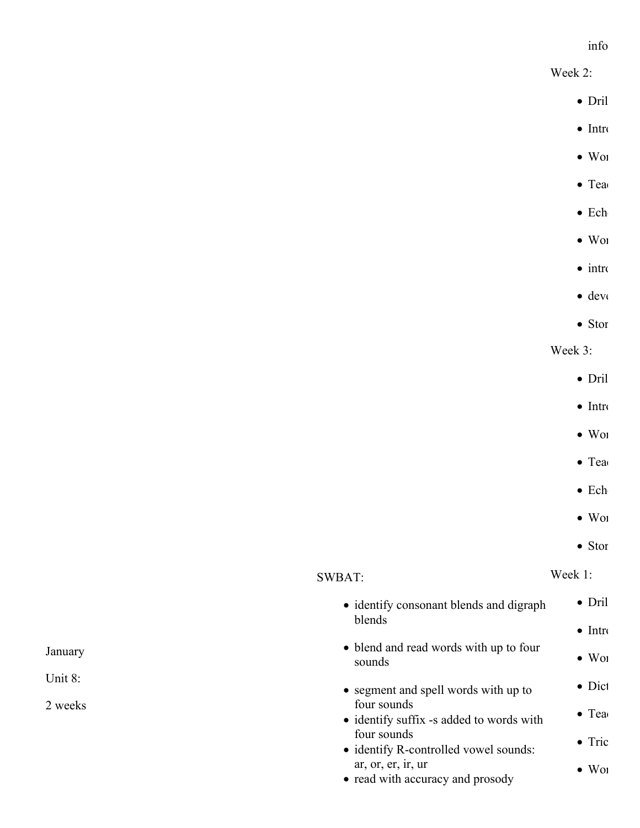#### info

Week 2:

- $\bullet$  Dril
- $\bullet$  Intro
- $\bullet$  Word
- $\bullet$  Tea
- $\bullet$  Ech
- $\bullet$  Wor
- $\bullet$  intro
- $\bullet$  deve
- $\bullet$  Stor

Week 3:

- $\bullet$  Dril
- $\bullet$  Intro
- $\bullet$  Word  $\bullet$
- $\bullet$  Tea
- $\bullet$  Ech
- $\bullet$  Woi
- $\bullet$  Stor

Week 1:

| blends<br>$\bullet$ Intro<br>• blend and read words with up to four<br>$\bullet$ W <sub>01</sub><br>sounds<br>$\bullet$ Dict<br>• segment and spell words with up to<br>four sounds<br>$\bullet$ Tea<br>• identify suffix -s added to words with<br>four sounds<br>$\bullet$ Tric<br>• identify R-controlled vowel sounds:<br>ar, or, er, ir, ur<br>$\bullet$ W <sub>01</sub><br>• read with accuracy and prosody | • identify consonant blends and digraph | $\bullet$ Dril |
|-------------------------------------------------------------------------------------------------------------------------------------------------------------------------------------------------------------------------------------------------------------------------------------------------------------------------------------------------------------------------------------------------------------------|-----------------------------------------|----------------|
|                                                                                                                                                                                                                                                                                                                                                                                                                   |                                         |                |
|                                                                                                                                                                                                                                                                                                                                                                                                                   |                                         |                |
|                                                                                                                                                                                                                                                                                                                                                                                                                   |                                         |                |
|                                                                                                                                                                                                                                                                                                                                                                                                                   |                                         |                |
|                                                                                                                                                                                                                                                                                                                                                                                                                   |                                         |                |
|                                                                                                                                                                                                                                                                                                                                                                                                                   |                                         |                |

SWBAT:

January

Unit 8: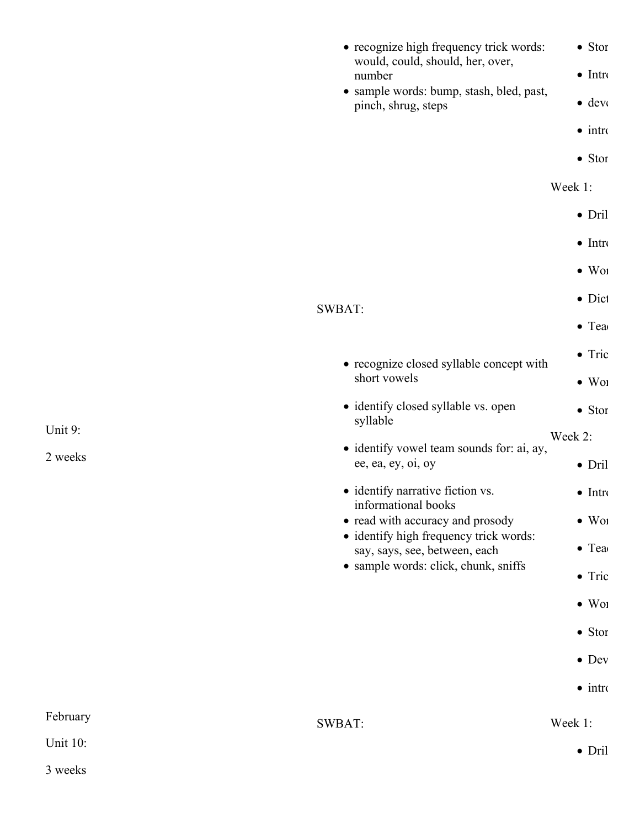|                                                                 | • recognize high frequency trick words:<br>would, could, should, her, over,                                     | $\bullet$ Stor  |
|-----------------------------------------------------------------|-----------------------------------------------------------------------------------------------------------------|-----------------|
|                                                                 | number                                                                                                          | $\bullet$ Intro |
| · sample words: bump, stash, bled, past,<br>pinch, shrug, steps | $\bullet$ deve                                                                                                  |                 |
|                                                                 |                                                                                                                 | $\bullet$ intro |
|                                                                 |                                                                                                                 | $\bullet$ Stor  |
|                                                                 |                                                                                                                 | Week 1:         |
|                                                                 |                                                                                                                 | $\bullet$ Dril  |
|                                                                 |                                                                                                                 | $\bullet$ Intro |
|                                                                 |                                                                                                                 | $\bullet$ Wor   |
|                                                                 | SWBAT:                                                                                                          | $\bullet$ Dict  |
|                                                                 |                                                                                                                 | $\bullet$ Tea   |
|                                                                 | • recognize closed syllable concept with                                                                        | $\bullet$ Tric  |
|                                                                 | short vowels                                                                                                    | $\bullet$ Wol   |
|                                                                 | • identify closed syllable vs. open<br>syllable                                                                 | $\bullet$ Stor  |
| Unit 9:                                                         |                                                                                                                 | Week 2:         |
| 2 weeks                                                         | · identify vowel team sounds for: ai, ay,<br>ee, ea, ey, oi, oy                                                 | $\bullet$ Dril  |
|                                                                 | • identify narrative fiction vs.                                                                                | $\bullet$ Intro |
|                                                                 | informational books<br>• read with accuracy and prosody                                                         | $\bullet$ Wol   |
|                                                                 | · identify high frequency trick words:<br>say, says, see, between, each<br>• sample words: click, chunk, sniffs | $\bullet$ Tea   |
|                                                                 |                                                                                                                 | $\bullet$ Tric  |
|                                                                 |                                                                                                                 | $\bullet$ Wol   |
|                                                                 |                                                                                                                 | $\bullet$ Stor  |
|                                                                 |                                                                                                                 | $\bullet$ Dev   |
|                                                                 |                                                                                                                 | $\bullet$ intro |
| February                                                        |                                                                                                                 |                 |
| <b>Unit 10:</b>                                                 | SWBAT:                                                                                                          | Week 1:         |
| 3 weeks                                                         |                                                                                                                 | $\bullet$ Dril  |
|                                                                 |                                                                                                                 |                 |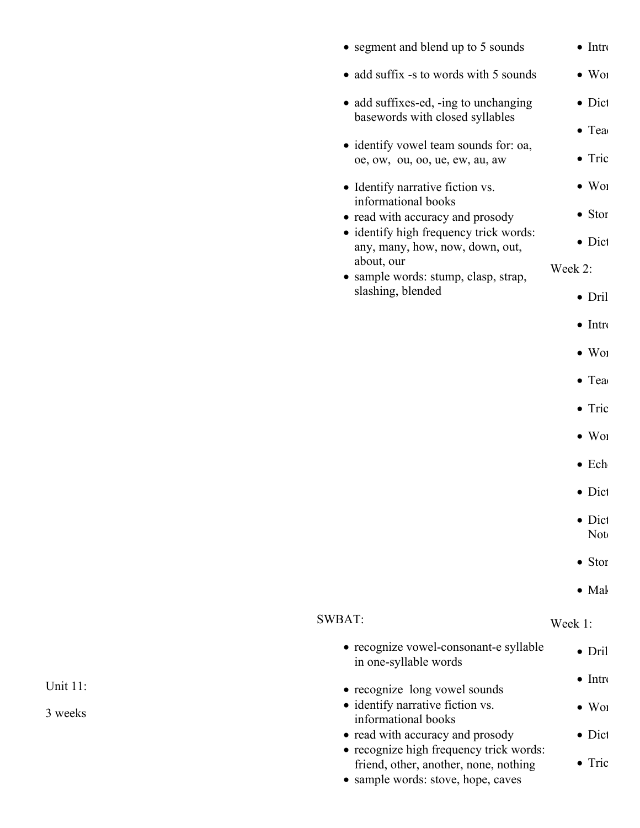|  | • segment and blend up to 5 sounds                                          | $\bullet$ Intro           |
|--|-----------------------------------------------------------------------------|---------------------------|
|  | • add suffix -s to words with 5 sounds                                      | $\bullet$ Wor             |
|  | • add suffixes-ed, -ing to unchanging<br>basewords with closed syllables    | $\bullet$ Dict            |
|  | • identify vowel team sounds for: oa,<br>oe, ow, ou, oo, ue, ew, au, aw     | $\bullet$ Tea<br>• Tric   |
|  | • Identify narrative fiction vs.<br>informational books                     | $\bullet$ W <sub>01</sub> |
|  | • read with accuracy and prosody<br>• identify high frequency trick words:  | $\bullet$ Stor            |
|  | any, many, how, now, down, out,                                             | $\bullet$ Dict            |
|  | about, our<br>• sample words: stump, clasp, strap,                          | Week 2:                   |
|  | slashing, blended                                                           | $\bullet$ Dril            |
|  |                                                                             | $\bullet$ Intro           |
|  |                                                                             | $\bullet$ W <sub>01</sub> |
|  |                                                                             | $\bullet$ Tea             |
|  |                                                                             | $\bullet$ Tric            |
|  |                                                                             | $\bullet$ Wor             |
|  | $\bullet$ Ech                                                               |                           |
|  |                                                                             | $\bullet$ Dict            |
|  |                                                                             | $\bullet$ Dict<br>Not     |
|  |                                                                             | $\bullet$ Stor            |
|  |                                                                             | $\bullet$ Mal             |
|  | SWBAT:                                                                      | Week 1:                   |
|  | • recognize vowel-consonant-e syllable<br>in one-syllable words             | $\bullet$ Dril            |
|  | • recognize long vowel sounds                                               | $\bullet$ Intro           |
|  | • identify narrative fiction vs.<br>informational books                     | $\bullet$ W <sub>01</sub> |
|  | • read with accuracy and prosody<br>• recognize high frequency trick words: | $\bullet$ Dict            |
|  | friend, other, another, none, nothing<br>• sample words: stove, hope, caves | $\bullet$ Tric            |
|  |                                                                             |                           |

Unit 11: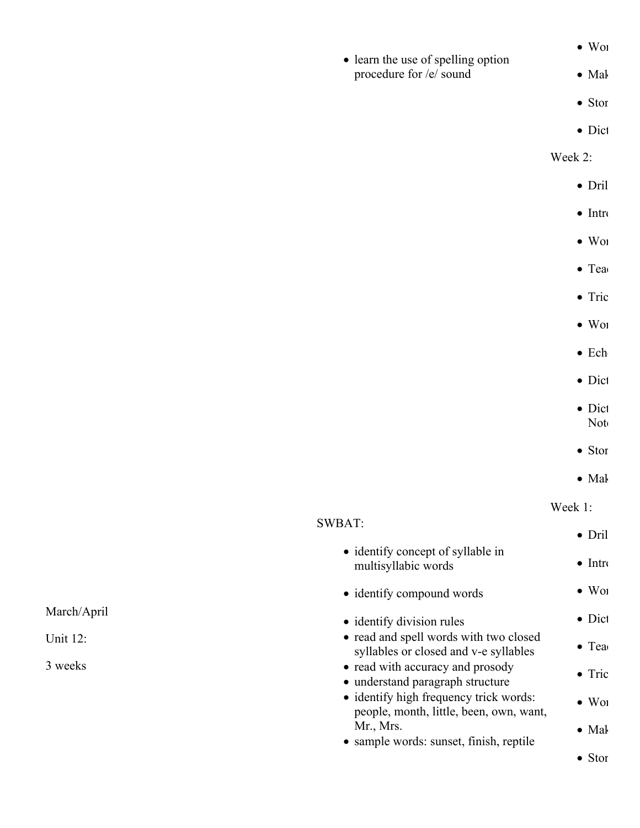|  | • learn the use of spelling option |  |
|--|------------------------------------|--|
|  |                                    |  |

procedure for /e/ sound

 $\bullet$  Mal

 $\bullet$  Wor

- $\bullet$  Stor
- $\bullet$  Dict

Week 2:

- $\bullet$  Dril
- $\bullet$  Intro
- $\bullet$  Word
- $\bullet$  Tea
- $\bullet$  Tric
- $\bullet$  Word
- $\bullet$  Ech
- 
- $\bullet$  Dict
- $\bullet$  Dict  $Not$
- 
- $\bullet$  Stor
- $\bullet$  Mal

Week 1:

| <b>SWBAT:</b>                                                                     | $\bullet$ Dril            |
|-----------------------------------------------------------------------------------|---------------------------|
| • identify concept of syllable in<br>multisyllabic words                          | $\bullet$ Intro           |
| • identify compound words                                                         | $\bullet$ W <sub>01</sub> |
| • identify division rules                                                         | $\bullet$ Dict            |
| • read and spell words with two closed<br>syllables or closed and v-e syllables   | $\bullet$ Tea             |
| • read with accuracy and prosody<br>• understand paragraph structure              | $\bullet$ Tric            |
| • identify high frequency trick words:<br>people, month, little, been, own, want, | $\bullet$ W <sub>01</sub> |
| Mr., Mrs.<br>• sample words: sunset, finish, reptile                              | $\bullet$ Mal             |
|                                                                                   | $\bullet$ Stor            |

March/April

Unit 12: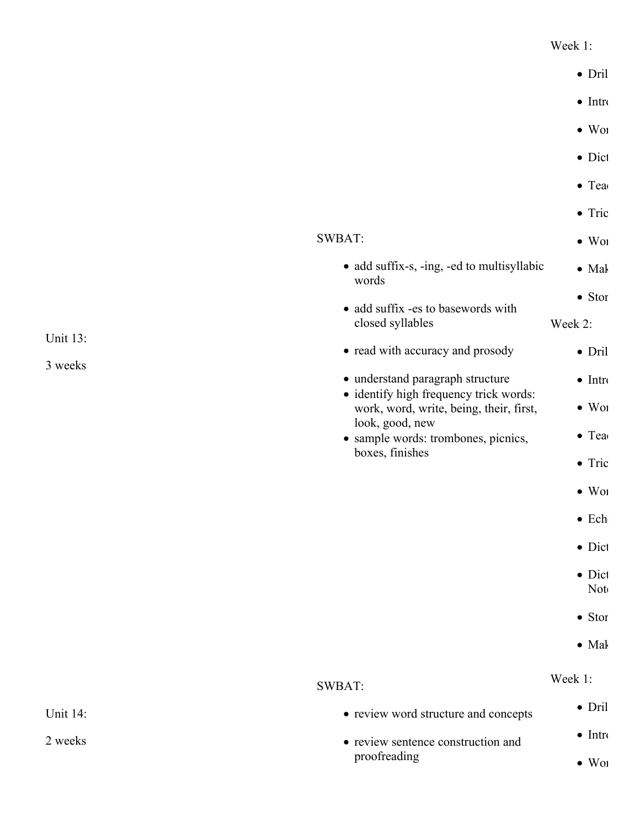#### Week 1:

|                                                                                   | $\bullet$ Dril        |
|-----------------------------------------------------------------------------------|-----------------------|
|                                                                                   | $\bullet$ Intro       |
|                                                                                   | $\bullet$ Wor         |
|                                                                                   | $\bullet$ Dict        |
|                                                                                   | $\bullet$ Tea         |
|                                                                                   | $\bullet$ Tric        |
| SWBAT:                                                                            | $\bullet$ Wor         |
| • add suffix-s, -ing, -ed to multisyllabic<br>words                               | $\bullet$ Mal         |
| • add suffix -es to basewords with                                                | $\bullet$ Stor        |
| closed syllables                                                                  | Week 2:               |
| • read with accuracy and prosody                                                  | $\bullet$ Dril        |
| • understand paragraph structure                                                  | $\bullet$ Intro       |
| · identify high frequency trick words:<br>work, word, write, being, their, first, | $\bullet$ Wol         |
| look, good, new<br>• sample words: trombones, picnics,                            | $\bullet$ Tea         |
| boxes, finishes                                                                   | $\bullet$ Tric        |
|                                                                                   | $\bullet$ Wol         |
|                                                                                   | $\bullet$ Ech         |
|                                                                                   | • Dict                |
|                                                                                   | $\bullet$ Dict<br>Not |
|                                                                                   | $\bullet$ Stor        |
|                                                                                   | $\bullet$ Mal         |
| <b>SWBAT:</b>                                                                     | Week 1:               |
| • review word structure and concepts                                              | $\bullet$ Dril        |
| • review sentence construction and                                                | $\bullet$ Intro       |
| proofreading                                                                      | $\bullet$ Wol         |

Unit 13:

3 weeks

Unit 14: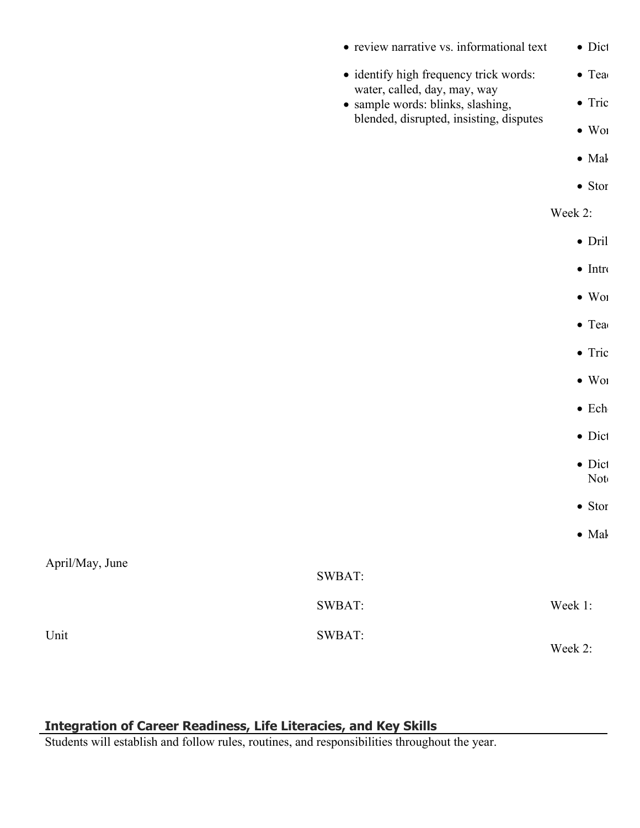|                 | • review narrative vs. informational text                              | $\bullet$ Dict        |
|-----------------|------------------------------------------------------------------------|-----------------------|
|                 | · identify high frequency trick words:<br>water, called, day, may, way | $\bullet$ Tea         |
|                 | · sample words: blinks, slashing,                                      | $\bullet$ Tric        |
|                 | blended, disrupted, insisting, disputes                                | $\bullet$ Wol         |
|                 |                                                                        | $\bullet$ Mal         |
|                 |                                                                        | $\bullet$ Stor        |
|                 |                                                                        | Week 2:               |
|                 |                                                                        | $\bullet$ Dril        |
|                 |                                                                        | $\bullet$ Intro       |
|                 |                                                                        | $\bullet$ Wol         |
|                 |                                                                        | $\bullet$ Tea         |
|                 |                                                                        | $\bullet$ Tric        |
|                 |                                                                        | $\bullet$ Wol         |
|                 |                                                                        | $\bullet$ Ech         |
|                 |                                                                        | $\bullet$ Dict        |
|                 |                                                                        | $\bullet$ Dict<br>Not |
|                 |                                                                        | $\bullet$ Stor        |
|                 |                                                                        | $\bullet$ Mal         |
| April/May, June | SWBAT:                                                                 |                       |
|                 | SWBAT:                                                                 | Week 1:               |
| Unit            | SWBAT:                                                                 | Week 2:               |
|                 |                                                                        |                       |

# **Integration of Career Readiness, Life Literacies, and Key Skills**

Students will establish and follow rules, routines, and responsibilities throughout the year.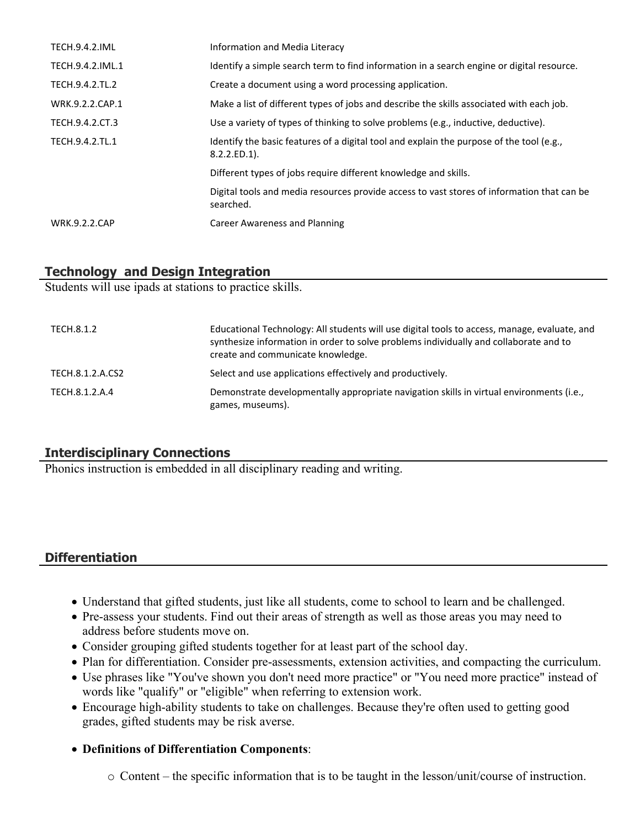| <b>TECH.9.4.2.IML</b> | Information and Media Literacy                                                                              |
|-----------------------|-------------------------------------------------------------------------------------------------------------|
| TECH.9.4.2.IML.1      | Identify a simple search term to find information in a search engine or digital resource.                   |
| TECH.9.4.2.TL.2       | Create a document using a word processing application.                                                      |
| WRK.9.2.2.CAP.1       | Make a list of different types of jobs and describe the skills associated with each job.                    |
| TECH.9.4.2.CT.3       | Use a variety of types of thinking to solve problems (e.g., inductive, deductive).                          |
| TECH.9.4.2.TL.1       | Identify the basic features of a digital tool and explain the purpose of the tool (e.g.,<br>$8.2.2.ED.1$ ). |
|                       | Different types of jobs require different knowledge and skills.                                             |
|                       | Digital tools and media resources provide access to vast stores of information that can be<br>searched.     |
| <b>WRK.9.2.2.CAP</b>  | Career Awareness and Planning                                                                               |

# **Technology and Design Integration**

Students will use ipads at stations to practice skills.

| TECH.8.1.2       | Educational Technology: All students will use digital tools to access, manage, evaluate, and<br>synthesize information in order to solve problems individually and collaborate and to<br>create and communicate knowledge. |
|------------------|----------------------------------------------------------------------------------------------------------------------------------------------------------------------------------------------------------------------------|
| TECH.8.1.2.A.CS2 | Select and use applications effectively and productively.                                                                                                                                                                  |
| TECH.8.1.2.A.4   | Demonstrate developmentally appropriate navigation skills in virtual environments (i.e.,<br>games, museums).                                                                                                               |

# **Interdisciplinary Connections**

Phonics instruction is embedded in all disciplinary reading and writing.

# **Differentiation**

- Understand that gifted students, just like all students, come to school to learn and be challenged.
- Pre-assess your students. Find out their areas of strength as well as those areas you may need to address before students move on.
- Consider grouping gifted students together for at least part of the school day.
- Plan for differentiation. Consider pre-assessments, extension activities, and compacting the curriculum.
- Use phrases like "You've shown you don't need more practice" or "You need more practice" instead of words like "qualify" or "eligible" when referring to extension work.
- Encourage high-ability students to take on challenges. Because they're often used to getting good grades, gifted students may be risk averse.
- **Definitions of Differentiation Components**:
	- o Content the specific information that is to be taught in the lesson/unit/course of instruction.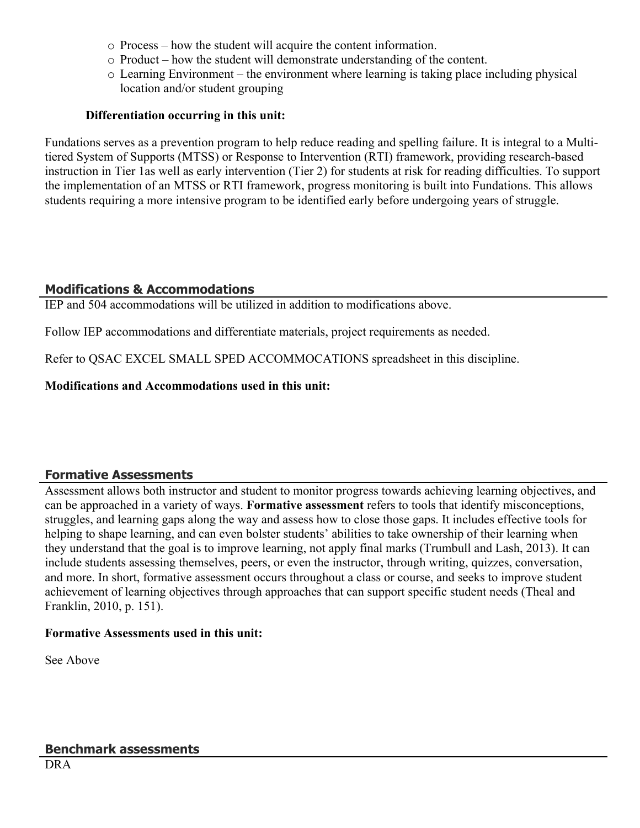- o Process how the student will acquire the content information.
- o Product how the student will demonstrate understanding of the content.
- o Learning Environment the environment where learning is taking place including physical location and/or student grouping

#### **Differentiation occurring in this unit:**

Fundations serves as a prevention program to help reduce reading and spelling failure. It is integral to a Multitiered System of Supports (MTSS) or Response to Intervention (RTI) framework, providing research-based instruction in Tier 1as well as early intervention (Tier 2) for students at risk for reading difficulties. To support the implementation of an MTSS or RTI framework, progress monitoring is built into Fundations. This allows students requiring a more intensive program to be identified early before undergoing years of struggle.

# **Modifications & Accommodations**

IEP and 504 accommodations will be utilized in addition to modifications above.

Follow IEP accommodations and differentiate materials, project requirements as needed.

Refer to QSAC EXCEL SMALL SPED ACCOMMOCATIONS spreadsheet in this discipline.

**Modifications and Accommodations used in this unit:**

# **Formative Assessments**

Assessment allows both instructor and student to monitor progress towards achieving learning objectives, and can be approached in a variety of ways. **Formative assessment** refers to tools that identify misconceptions, struggles, and learning gaps along the way and assess how to close those gaps. It includes effective tools for helping to shape learning, and can even bolster students' abilities to take ownership of their learning when they understand that the goal is to improve learning, not apply final marks (Trumbull and Lash, 2013). It can include students assessing themselves, peers, or even the instructor, through writing, quizzes, conversation, and more. In short, formative assessment occurs throughout a class or course, and seeks to improve student achievement of learning objectives through approaches that can support specific student needs (Theal and Franklin, 2010, p. 151).

#### **Formative Assessments used in this unit:**

See Above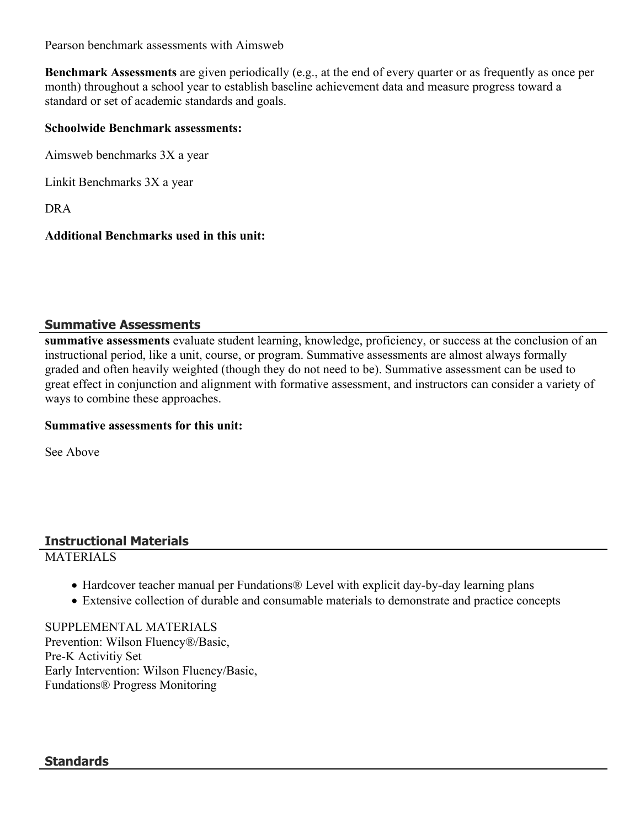Pearson benchmark assessments with Aimsweb

**Benchmark Assessments** are given periodically (e.g., at the end of every quarter or as frequently as once per month) throughout a school year to establish baseline achievement data and measure progress toward a standard or set of academic standards and goals.

#### **Schoolwide Benchmark assessments:**

Aimsweb benchmarks 3X a year

Linkit Benchmarks 3X a year

DRA

#### **Additional Benchmarks used in this unit:**

#### **Summative Assessments**

**summative assessments** evaluate student learning, knowledge, proficiency, or success at the conclusion of an instructional period, like a unit, course, or program. Summative assessments are almost always formally graded and often heavily weighted (though they do not need to be). Summative assessment can be used to great effect in conjunction and alignment with formative assessment, and instructors can consider a variety of ways to combine these approaches.

#### **Summative assessments for this unit:**

See Above

# **Instructional Materials**

#### **MATERIALS**

- Hardcover teacher manual per Fundations<sup>®</sup> Level with explicit day-by-day learning plans
- Extensive collection of durable and consumable materials to demonstrate and practice concepts

SUPPLEMENTAL MATERIALS Prevention: Wilson Fluency®/Basic, Pre-K Activitiy Set Early Intervention: Wilson Fluency/Basic, Fundations® Progress Monitoring

#### **Standards**